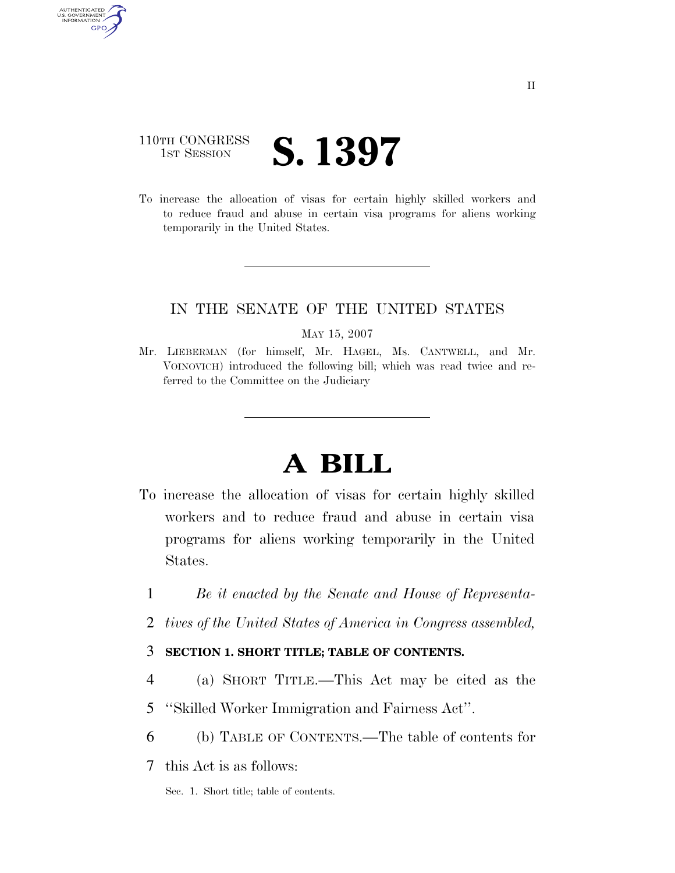## 110TH CONGRESS **1ST SESSION S. 1397**

AUTHENTICATED U.S. GOVERNMENT GPO

> To increase the allocation of visas for certain highly skilled workers and to reduce fraud and abuse in certain visa programs for aliens working temporarily in the United States.

### IN THE SENATE OF THE UNITED STATES

#### MAY 15, 2007

Mr. LIEBERMAN (for himself, Mr. HAGEL, Ms. CANTWELL, and Mr. VOINOVICH) introduced the following bill; which was read twice and referred to the Committee on the Judiciary

# **A BILL**

- To increase the allocation of visas for certain highly skilled workers and to reduce fraud and abuse in certain visa programs for aliens working temporarily in the United States.
	- 1 *Be it enacted by the Senate and House of Representa-*
	- 2 *tives of the United States of America in Congress assembled,*

### 3 **SECTION 1. SHORT TITLE; TABLE OF CONTENTS.**

- 4 (a) SHORT TITLE.—This Act may be cited as the
- 5 ''Skilled Worker Immigration and Fairness Act''.
- 6 (b) TABLE OF CONTENTS.—The table of contents for
- 7 this Act is as follows:

Sec. 1. Short title; table of contents.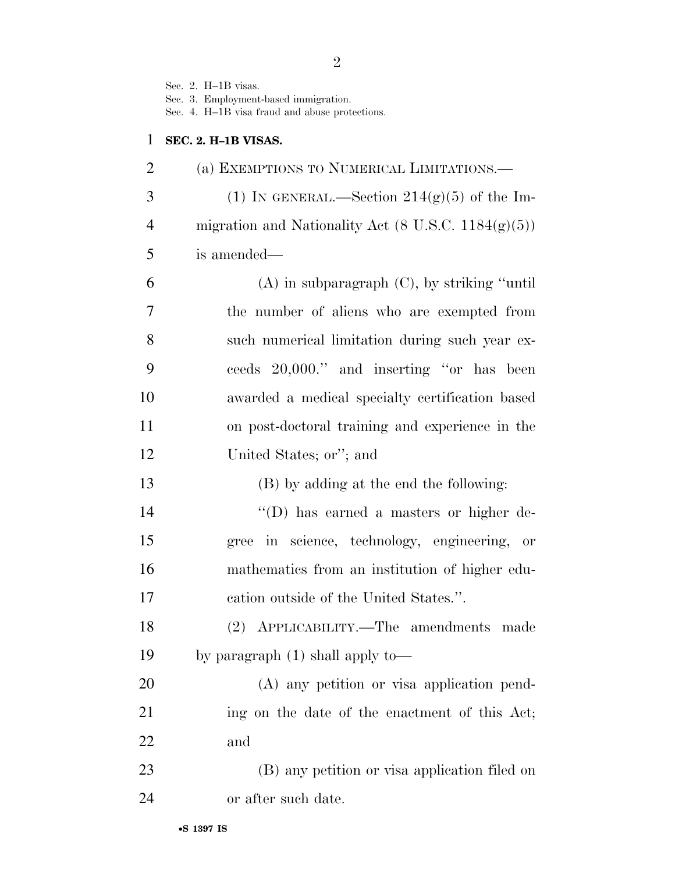Sec. 2. H–1B visas.

Sec. 3. Employment-based immigration.

Sec. 4. H–1B visa fraud and abuse protections.

## **SEC. 2. H–1B VISAS.**

| $\overline{2}$ | (a) EXEMPTIONS TO NUMERICAL LIMITATIONS.—                      |
|----------------|----------------------------------------------------------------|
| 3              | (1) IN GENERAL.—Section $214(g)(5)$ of the Im-                 |
| $\overline{4}$ | migration and Nationality Act $(8 \text{ U.S.C. } 1184(g)(5))$ |
| 5              | is amended—                                                    |
| 6              | $(A)$ in subparagraph $(C)$ , by striking "until"              |
| 7              | the number of aliens who are exempted from                     |
| 8              | such numerical limitation during such year ex-                 |
| 9              | ceeds 20,000." and inserting "or has been                      |
| 10             | awarded a medical specialty certification based                |
| 11             | on post-doctoral training and experience in the                |
| 12             | United States; or"; and                                        |
| 13             | (B) by adding at the end the following:                        |
| 14             | "(D) has earned a masters or higher de-                        |
| 15             | gree in science, technology, engineering,<br>or                |
| 16             | mathematics from an institution of higher edu-                 |
| 17             | cation outside of the United States.".                         |
| 18             | (2) APPLICABILITY.—The amendments made                         |
| 19             | by paragraph $(1)$ shall apply to-                             |
| 20             | (A) any petition or visa application pend-                     |
| 21             | ing on the date of the enactment of this Act;                  |
| 22             | and                                                            |
| 23             | (B) any petition or visa application filed on                  |
| 24             | or after such date.                                            |
|                |                                                                |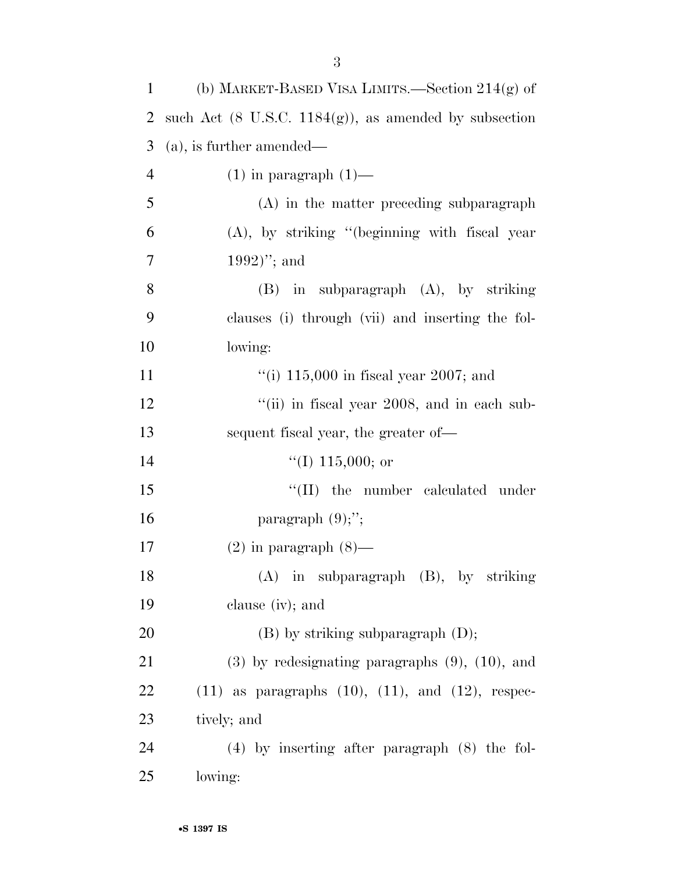| $\mathbf{1}$   | (b) MARKET-BASED VISA LIMITS.—Section $214(g)$ of                 |
|----------------|-------------------------------------------------------------------|
| 2              | such Act $(8 \text{ U.S.C. } 1184(g))$ , as amended by subsection |
| 3              | $(a)$ , is further amended—                                       |
| $\overline{4}$ | $(1)$ in paragraph $(1)$ —                                        |
| 5              | (A) in the matter preceding subparagraph                          |
| 6              | $(A)$ , by striking "(beginning with fiscal year                  |
| 7              | $1992)$ "; and                                                    |
| 8              | $(B)$ in subparagraph $(A)$ , by striking                         |
| 9              | clauses (i) through (vii) and inserting the fol-                  |
| 10             | lowing:                                                           |
| 11             | "(i) $115,000$ in fiscal year 2007; and                           |
| 12             | "(ii) in fiscal year 2008, and in each sub-                       |
| 13             | sequent fiscal year, the greater of-                              |
| 14             | $\lq(1)$ 115,000; or                                              |
| 15             | $\lq\lq$ (II) the number calculated under                         |
| 16             | paragraph $(9)$ ;";                                               |
| 17             | $(2)$ in paragraph $(8)$ —                                        |
| 18             | (A) in subparagraph (B), by striking                              |
| 19             | clause $(iv)$ ; and                                               |
| 20             | $(B)$ by striking subparagraph $(D)$ ;                            |
| 21             | $(3)$ by redesignating paragraphs $(9)$ , $(10)$ , and            |
| 22             | $(11)$ as paragraphs $(10)$ , $(11)$ , and $(12)$ , respec-       |
| 23             | tively; and                                                       |
| 24             | $(4)$ by inserting after paragraph $(8)$ the fol-                 |
| 25             | lowing:                                                           |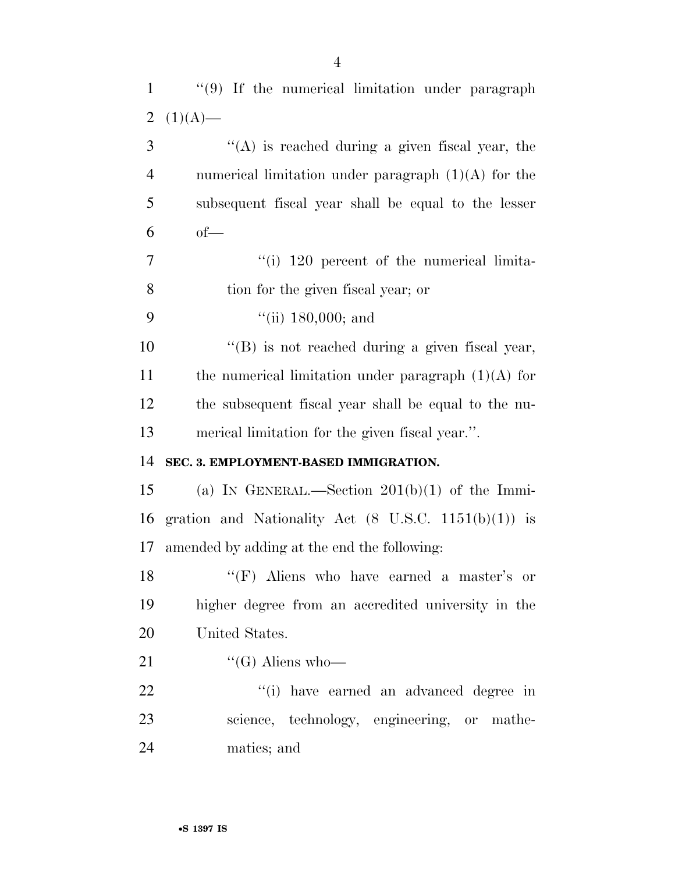| $\mathbf{1}$   | "(9) If the numerical limitation under paragraph                |
|----------------|-----------------------------------------------------------------|
| $\overline{2}$ | $(1)(A)$ —                                                      |
| 3              | $\lq\lq$ is reached during a given fiscal year, the             |
| $\overline{4}$ | numerical limitation under paragraph $(1)(A)$ for the           |
| 5              | subsequent fiscal year shall be equal to the lesser             |
| 6              | $of-$                                                           |
| $\overline{7}$ | $\lq$ <sup>"(i)</sup> 120 percent of the numerical limita-      |
| 8              | tion for the given fiscal year; or                              |
| 9              | ``(ii) 180,000; and                                             |
| 10             | "(B) is not reached during a given fiscal year,                 |
| 11             | the numerical limitation under paragraph $(1)(A)$ for           |
| 12             | the subsequent fiscal year shall be equal to the nu-            |
| 13             | merical limitation for the given fiscal year.".                 |
| 14             | SEC. 3. EMPLOYMENT-BASED IMMIGRATION.                           |
| 15             | (a) IN GENERAL.—Section $201(b)(1)$ of the Immi-                |
| 16             | gration and Nationality Act $(8 \text{ U.S.C. } 1151(b)(1))$ is |
| 17             | amended by adding at the end the following:                     |
| 18             | "(F) Aliens who have earned a master's or                       |
| 19             | higher degree from an accredited university in the              |
| 20             | United States.                                                  |
| 21             | "(G) Aliens who—                                                |
| 22             | "(i) have earned an advanced degree in                          |
| 23             | science, technology, engineering, or mathe-                     |
| 24             | matics; and                                                     |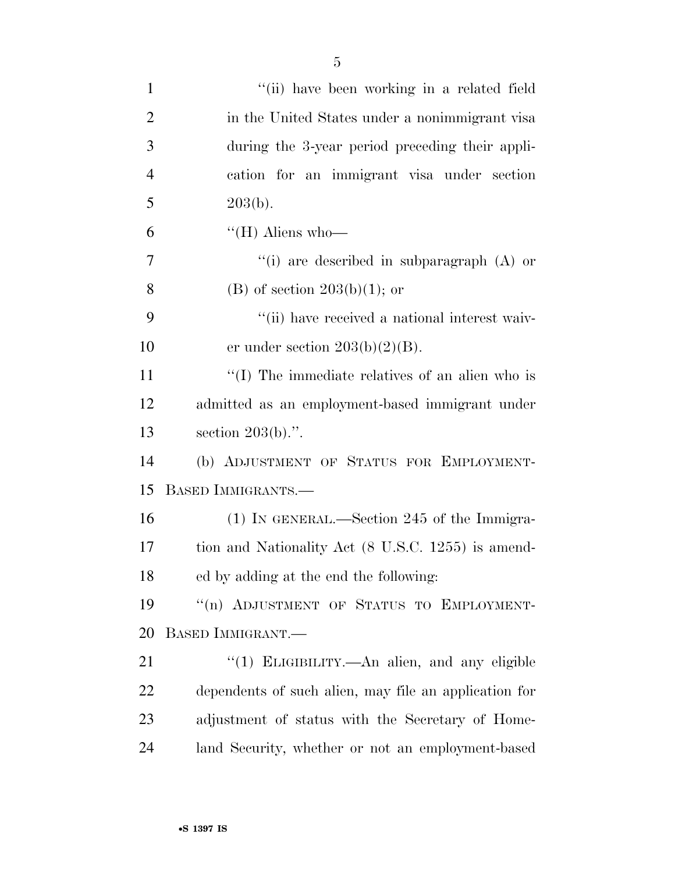| $\mathbf{1}$   | "(ii) have been working in a related field              |
|----------------|---------------------------------------------------------|
| $\overline{2}$ | in the United States under a nonimmigrant visa          |
| 3              | during the 3-year period preceding their appli-         |
| $\overline{4}$ | cation for an immigrant visa under section              |
| 5              | 203(b).                                                 |
| 6              | "(H) Aliens who-                                        |
| 7              | "(i) are described in subparagraph $(A)$ or             |
| 8              | (B) of section $203(b)(1)$ ; or                         |
| 9              | "(ii) have received a national interest waiv-           |
| 10             | er under section $203(b)(2)(B)$ .                       |
| 11             | $\lq\lq$ (I) The immediate relatives of an alien who is |
| 12             | admitted as an employment-based immigrant under         |
| 13             | section $203(b)$ .".                                    |
| 14             | (b) ADJUSTMENT OF STATUS FOR EMPLOYMENT-                |
| 15             | BASED IMMIGRANTS.-                                      |
| 16             | (1) IN GENERAL.—Section 245 of the Immigra-             |
| 17             | tion and Nationality Act (8 U.S.C. 1255) is amend-      |
| 18             | ed by adding at the end the following:                  |
| 19             | "(n) ADJUSTMENT OF STATUS TO EMPLOYMENT-                |
| 20             | BASED IMMIGRANT.—                                       |
| 21             | "(1) ELIGIBILITY.—An alien, and any eligible            |
| 22             | dependents of such alien, may file an application for   |
| 23             | adjustment of status with the Secretary of Home-        |
| 24             | land Security, whether or not an employment-based       |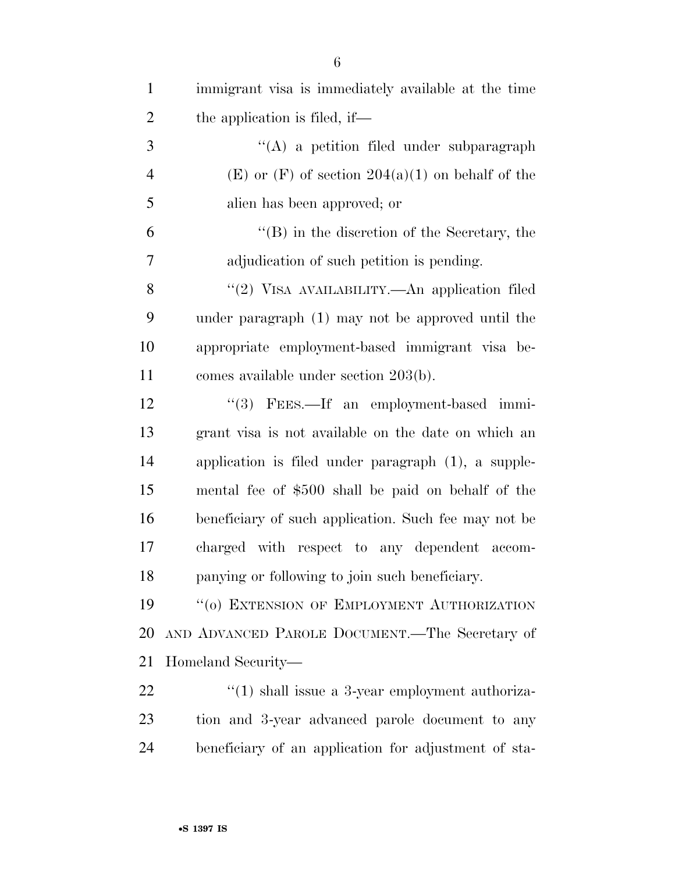| $\mathbf{1}$   | immigrant visa is immediately available at the time  |
|----------------|------------------------------------------------------|
| $\overline{2}$ | the application is filed, if—                        |
| 3              | $\lq\lq$ a petition filed under subparagraph         |
| $\overline{4}$ | $(E)$ or $(F)$ of section 204(a)(1) on behalf of the |
| 5              | alien has been approved; or                          |
| 6              | $\lq\lq (B)$ in the discretion of the Secretary, the |
| 7              | adjudication of such petition is pending.            |
| 8              | "(2) VISA AVAILABILITY.—An application filed         |
| 9              | under paragraph (1) may not be approved until the    |
| 10             | appropriate employment-based immigrant visa be-      |
| 11             | comes available under section $203(b)$ .             |
| 12             | "(3) FEES.—If an employment-based immi-              |
| 13             | grant visa is not available on the date on which an  |
| 14             | application is filed under paragraph (1), a supple-  |
| 15             | mental fee of \$500 shall be paid on behalf of the   |
| 16             | beneficiary of such application. Such fee may not be |
| 17             | charged with respect to any dependent accom-         |
| 18             | panying or following to join such beneficiary.       |
| 19             | "(o) EXTENSION OF EMPLOYMENT AUTHORIZATION           |
| 20             | AND ADVANCED PAROLE DOCUMENT.—The Secretary of       |
| 21             | Homeland Security—                                   |
| 22             | $\lq(1)$ shall issue a 3-year employment authoriza-  |
| 23             | tion and 3-year advanced parole document to any      |
| 24             | beneficiary of an application for adjustment of sta- |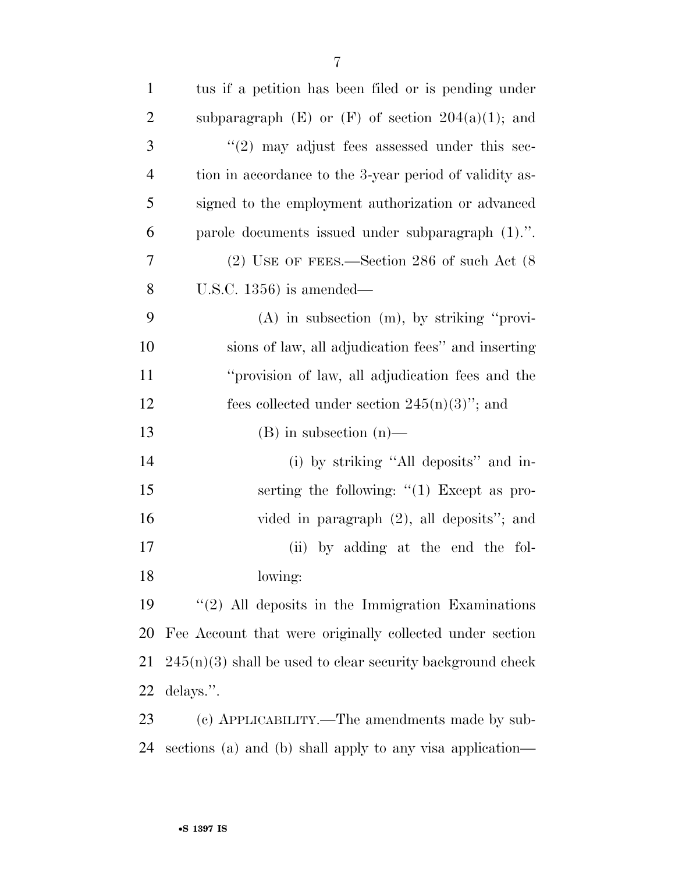| $\mathbf{1}$   | tus if a petition has been filed or is pending under         |
|----------------|--------------------------------------------------------------|
| $\overline{2}$ | subparagraph $(E)$ or $(F)$ of section $204(a)(1)$ ; and     |
| 3              | $\lq(2)$ may adjust fees assessed under this sec-            |
| $\overline{4}$ | tion in accordance to the 3-year period of validity as-      |
| 5              | signed to the employment authorization or advanced           |
| 6              | parole documents issued under subparagraph (1).".            |
| $\overline{7}$ | $(2)$ USE OF FEES.—Section 286 of such Act $(8)$             |
| 8              | U.S.C. $1356$ ) is amended—                                  |
| 9              | $(A)$ in subsection $(m)$ , by striking "provi-              |
| 10             | sions of law, all adjudication fees" and inserting           |
| 11             | "provision of law, all adjudication fees and the             |
| 12             | fees collected under section $245(n)(3)$ "; and              |
| 13             | $(B)$ in subsection $(n)$ —                                  |
| 14             | (i) by striking "All deposits" and in-                       |
| 15             | serting the following: $\lq(1)$ Except as pro-               |
| 16             | vided in paragraph $(2)$ , all deposits"; and                |
| 17             | (ii) by adding at the end the fol-                           |
| 18             | lowing:                                                      |
| 19             | $\lq(2)$ All deposits in the Immigration Examinations        |
| 20             | Fee Account that were originally collected under section     |
| 21             | $245(n)(3)$ shall be used to clear security background check |
| 22             | delays.".                                                    |
| 23             | (c) APPLICABILITY.—The amendments made by sub-               |
| 24             | sections (a) and (b) shall apply to any visa application—    |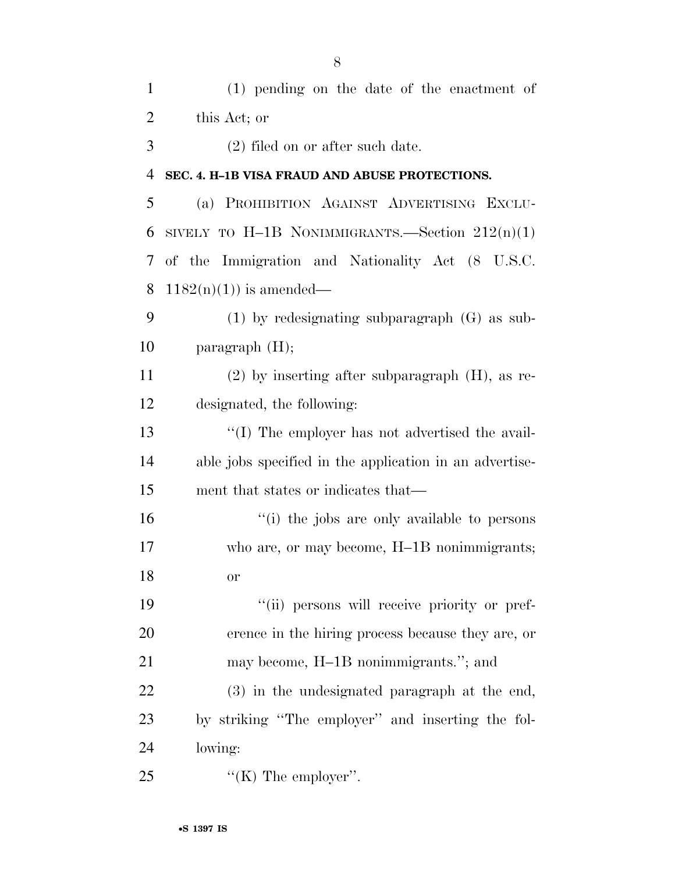| $\mathbf{1}$   | $(1)$ pending on the date of the enactment of           |
|----------------|---------------------------------------------------------|
| $\overline{2}$ | this Act; or                                            |
| 3              | $(2)$ filed on or after such date.                      |
| $\overline{4}$ | SEC. 4. H-1B VISA FRAUD AND ABUSE PROTECTIONS.          |
| 5              | (a) PROHIBITION AGAINST ADVERTISING EXCLU-              |
| 6              | SIVELY TO H-1B NONIMMIGRANTS.—Section $212(n)(1)$       |
| 7              | of the Immigration and Nationality Act (8 U.S.C.        |
| 8              | $1182(n)(1)$ is amended—                                |
| 9              | $(1)$ by redesignating subparagraph $(G)$ as sub-       |
| 10             | paragraph $(H)$ ;                                       |
| 11             | $(2)$ by inserting after subparagraph $(H)$ , as re-    |
| 12             | designated, the following:                              |
| 13             | $\lq$ (I) The employer has not advertised the avail-    |
| 14             | able jobs specified in the application in an advertise- |
| 15             | ment that states or indicates that—                     |
| 16             | "(i) the jobs are only available to persons             |
| 17             | who are, or may become, H-1B nonimmigrants;             |
| 18             | <b>or</b>                                               |
| 19             | "(ii) persons will receive priority or pref-            |
| 20             | erence in the hiring process because they are, or       |
| 21             | may become, H-1B nonimmigrants."; and                   |
| 22             | (3) in the undesignated paragraph at the end,           |
| 23             | by striking "The employer" and inserting the fol-       |
| 24             | lowing:                                                 |
| 25             | "(K) The employer".                                     |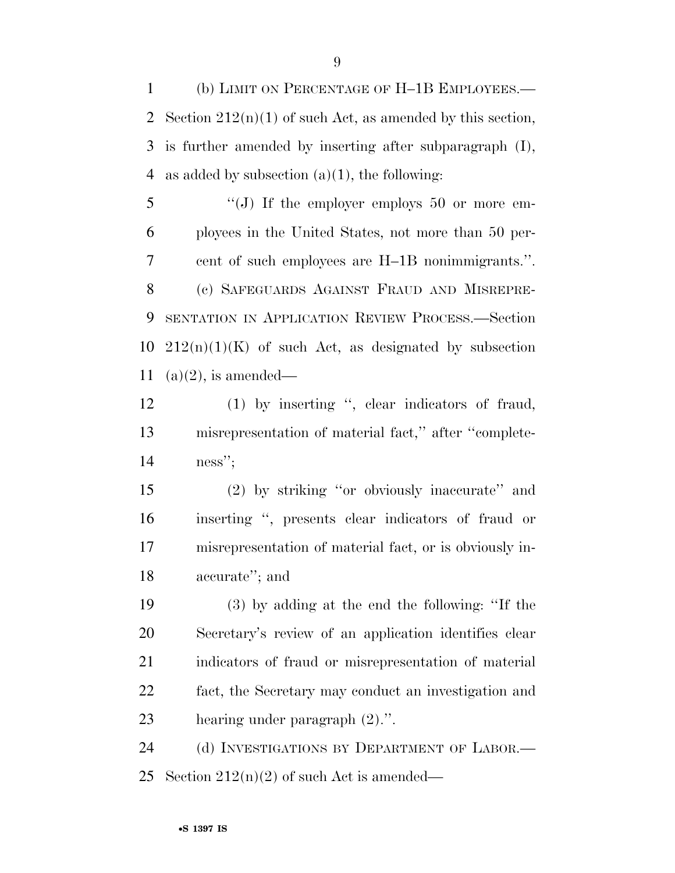(b) LIMIT ON PERCENTAGE OF H–1B EMPLOYEES.— 2 Section  $212(n)(1)$  of such Act, as amended by this section, is further amended by inserting after subparagraph (I), 4 as added by subsection  $(a)(1)$ , the following:

5 "(J) If the employer employs 50 or more em- ployees in the United States, not more than 50 per- cent of such employees are H–1B nonimmigrants.''. (c) SAFEGUARDS AGAINST FRAUD AND MISREPRE- SENTATION IN APPLICATION REVIEW PROCESS.—Section  $212(n)(1)(K)$  of such Act, as designated by subsection 11 (a) $(2)$ , is amended—

 (1) by inserting '', clear indicators of fraud, misrepresentation of material fact,'' after ''complete-ness'';

 (2) by striking ''or obviously inaccurate'' and inserting '', presents clear indicators of fraud or misrepresentation of material fact, or is obviously in-accurate''; and

 (3) by adding at the end the following: ''If the Secretary's review of an application identifies clear indicators of fraud or misrepresentation of material fact, the Secretary may conduct an investigation and hearing under paragraph (2).''.

24 (d) INVESTIGATIONS BY DEPARTMENT OF LABOR.— 25 Section  $212(n)(2)$  of such Act is amended—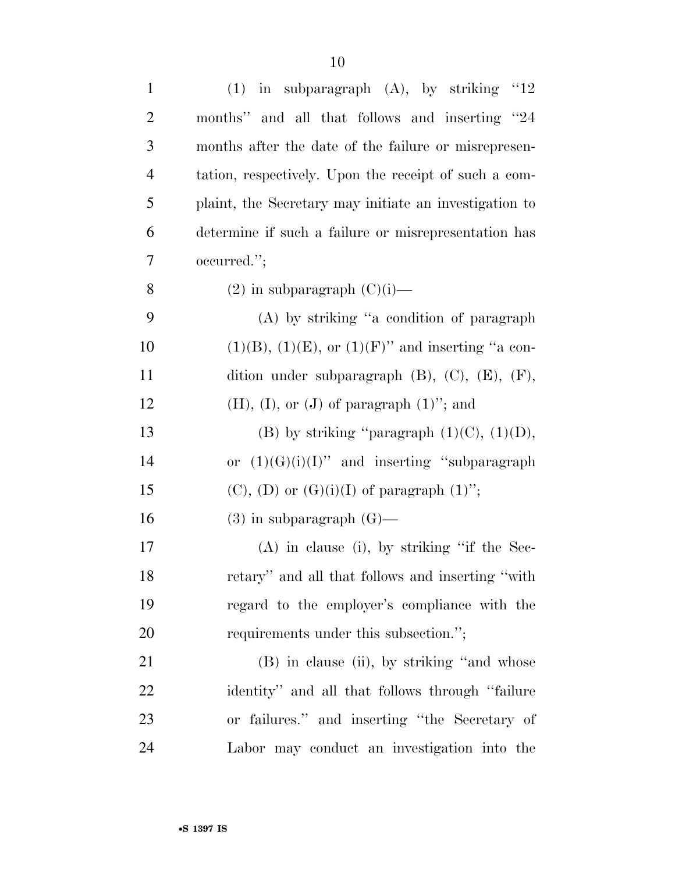| $\mathbf{1}$   | (1) in subparagraph $(A)$ , by striking "12               |
|----------------|-----------------------------------------------------------|
| $\overline{c}$ | months" and all that follows and inserting "24            |
| 3              | months after the date of the failure or misrepresen-      |
| 4              | tation, respectively. Upon the receipt of such a com-     |
| 5              | plaint, the Secretary may initiate an investigation to    |
| 6              | determine if such a failure or misrepresentation has      |
| 7              | occurred.";                                               |
| 8              | $(2)$ in subparagraph $(C)(i)$ —                          |
| 9              | (A) by striking "a condition of paragraph                 |
| 10             | $(1)(B)$ , $(1)(E)$ , or $(1)(F)$ " and inserting "a con- |
| 11             | dition under subparagraph $(B)$ , $(C)$ , $(E)$ , $(F)$ , |
| 12             | $(H), (I),$ or $(J)$ of paragraph $(1)$ "; and            |
| 13             | (B) by striking "paragraph $(1)(C)$ , $(1)(D)$ ,          |
| 14             | or $(1)(G)(i)(I)$ " and inserting "subparagraph"          |
| 15             | $(C)$ , $(D)$ or $(G)(i)(I)$ of paragraph $(1)$ ";        |
| 16             | $(3)$ in subparagraph $(G)$ —                             |
| 17             | $(A)$ in clause (i), by striking "if the Sec-             |
| 18             | retary" and all that follows and inserting "with          |
| 19             | regard to the employer's compliance with the              |
| <b>20</b>      | requirements under this subsection.";                     |
| 21             | (B) in clause (ii), by striking "and whose                |
| 22             | identity" and all that follows through "failure"          |
| 23             | or failures." and inserting "the Secretary of             |
| 24             | Labor may conduct an investigation into the               |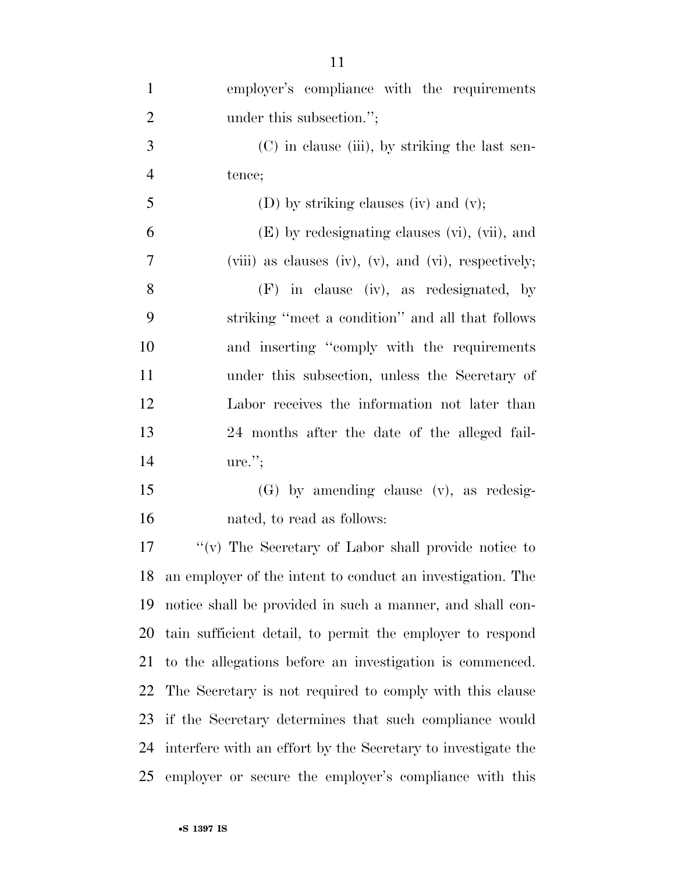| $\mathbf{1}$   | employer's compliance with the requirements                  |
|----------------|--------------------------------------------------------------|
| $\overline{2}$ | under this subsection.";                                     |
| 3              | (C) in clause (iii), by striking the last sen-               |
| $\overline{4}$ | tence;                                                       |
| 5              | (D) by striking clauses (iv) and (v);                        |
| 6              | (E) by redesignating clauses (vi), (vii), and                |
| $\overline{7}$ | (viii) as clauses (iv), $(v)$ , and $(vi)$ , respectively;   |
| 8              | $(F)$ in clause (iv), as redesignated, by                    |
| 9              | striking "meet a condition" and all that follows             |
| 10             | and inserting "comply with the requirements"                 |
| 11             | under this subsection, unless the Secretary of               |
| 12             | Labor receives the information not later than                |
| 13             | 24 months after the date of the alleged fail-                |
| 14             | $ure.$ ";                                                    |
| 15             | $(G)$ by amending clause $(v)$ , as redesig-                 |
| 16             | nated, to read as follows:                                   |
| 17             | " $(v)$ The Secretary of Labor shall provide notice to       |
| 18             | an employer of the intent to conduct an investigation. The   |
| 19             | notice shall be provided in such a manner, and shall con-    |
| 20             | tain sufficient detail, to permit the employer to respond    |
| 21             | to the allegations before an investigation is commenced.     |
| 22             | The Secretary is not required to comply with this clause     |
| 23             | if the Secretary determines that such compliance would       |
| 24             | interfere with an effort by the Secretary to investigate the |
| 25             | employer or secure the employer's compliance with this       |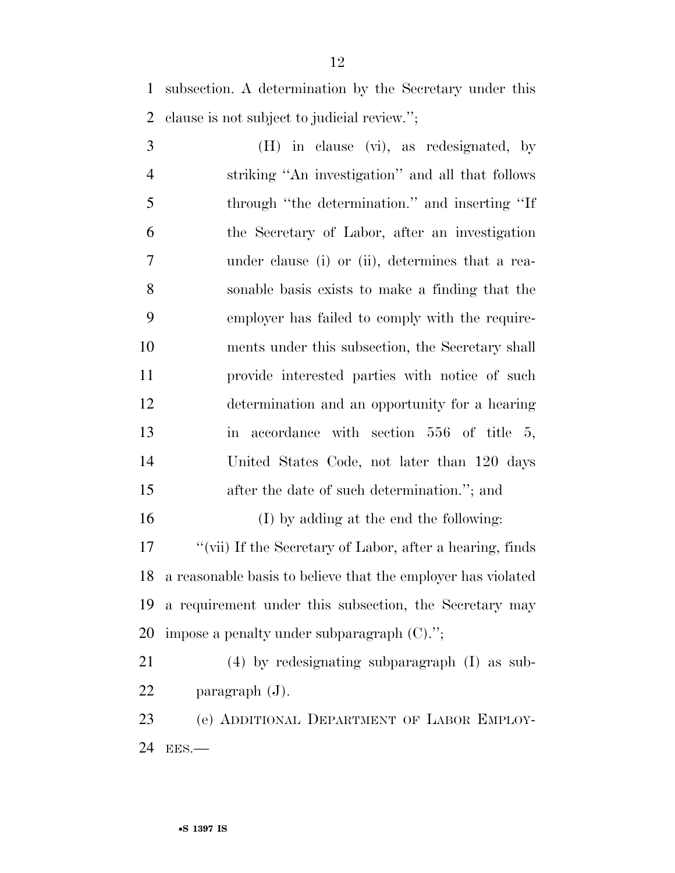subsection. A determination by the Secretary under this clause is not subject to judicial review.'';

 (H) in clause (vi), as redesignated, by striking ''An investigation'' and all that follows through ''the determination.'' and inserting ''If the Secretary of Labor, after an investigation under clause (i) or (ii), determines that a rea- sonable basis exists to make a finding that the employer has failed to comply with the require- ments under this subsection, the Secretary shall provide interested parties with notice of such determination and an opportunity for a hearing in accordance with section 556 of title 5, United States Code, not later than 120 days after the date of such determination.''; and (I) by adding at the end the following:

 ''(vii) If the Secretary of Labor, after a hearing, finds a reasonable basis to believe that the employer has violated a requirement under this subsection, the Secretary may impose a penalty under subparagraph (C).'';

 (4) by redesignating subparagraph (I) as sub-paragraph (J).

 (e) ADDITIONAL DEPARTMENT OF LABOR EMPLOY-EES.—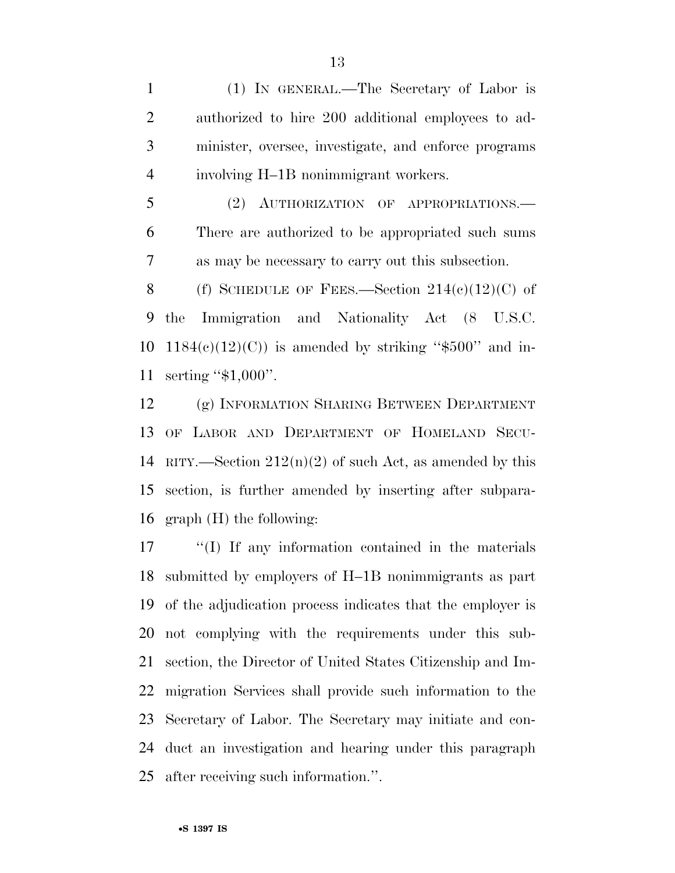(1) IN GENERAL.—The Secretary of Labor is authorized to hire 200 additional employees to ad- minister, oversee, investigate, and enforce programs involving H–1B nonimmigrant workers.

 (2) AUTHORIZATION OF APPROPRIATIONS.— There are authorized to be appropriated such sums as may be necessary to carry out this subsection.

8 (f) SCHEDULE OF FEES.—Section  $214(e)(12)(C)$  of the Immigration and Nationality Act (8 U.S.C.  $1184(e)(12)(C)$  is amended by striking "\$500" and in-serting ''\$1,000''.

 (g) INFORMATION SHARING BETWEEN DEPARTMENT OF LABOR AND DEPARTMENT OF HOMELAND SECU-14 RITY.—Section  $212(n)(2)$  of such Act, as amended by this section, is further amended by inserting after subpara-graph (H) the following:

 ''(I) If any information contained in the materials submitted by employers of H–1B nonimmigrants as part of the adjudication process indicates that the employer is not complying with the requirements under this sub- section, the Director of United States Citizenship and Im- migration Services shall provide such information to the Secretary of Labor. The Secretary may initiate and con- duct an investigation and hearing under this paragraph after receiving such information.''.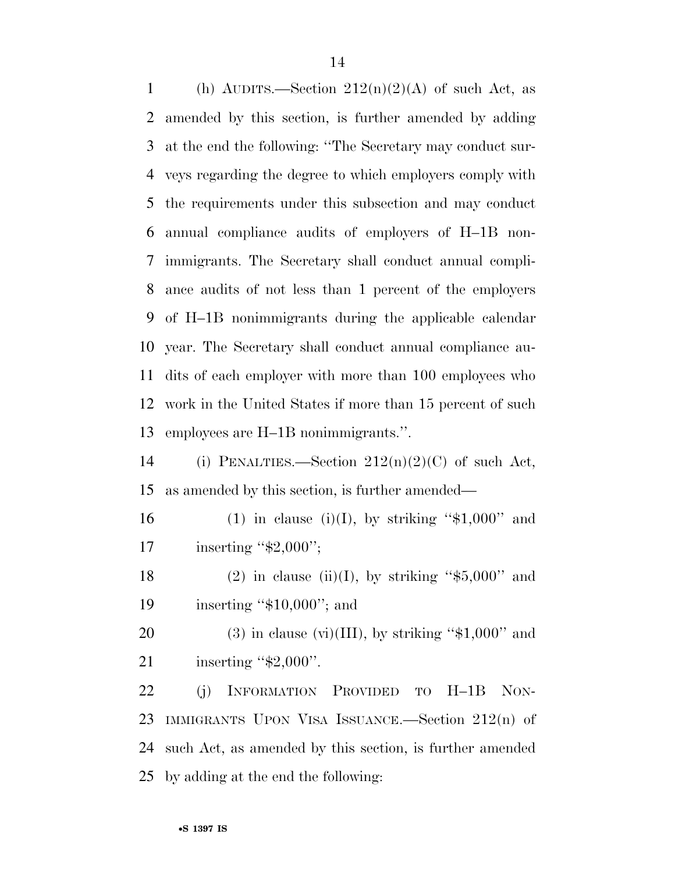1 (h) AUDITS.—Section  $212(n)(2)(A)$  of such Act, as amended by this section, is further amended by adding at the end the following: ''The Secretary may conduct sur- veys regarding the degree to which employers comply with the requirements under this subsection and may conduct annual compliance audits of employers of H–1B non- immigrants. The Secretary shall conduct annual compli- ance audits of not less than 1 percent of the employers of H–1B nonimmigrants during the applicable calendar year. The Secretary shall conduct annual compliance au- dits of each employer with more than 100 employees who work in the United States if more than 15 percent of such employees are H–1B nonimmigrants.''. 14 (i) PENALTIES.—Section  $212(n)(2)(C)$  of such Act,

as amended by this section, is further amended—

16 (1) in clause (i)(I), by striking " $$1,000"$  and 17 inserting "\$2,000";

18 (2) in clause (ii)(I), by striking " $$5,000"$  and 19 inserting "\$10,000"; and

20 (3) in clause (vi)(III), by striking " $$1,000"$  and 21 inserting "\$2,000".

 (j) INFORMATION PROVIDED TO H–1B NON- IMMIGRANTS UPON VISA ISSUANCE.—Section 212(n) of such Act, as amended by this section, is further amended by adding at the end the following: